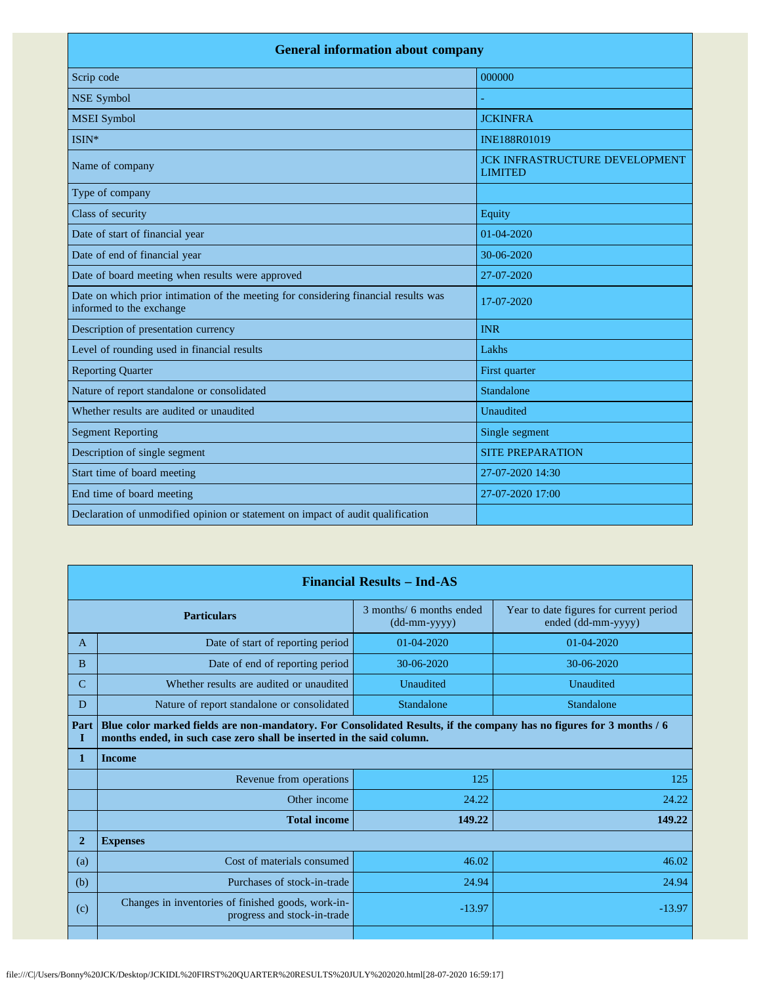| <b>General information about company</b>                                                                        |                                                         |  |  |
|-----------------------------------------------------------------------------------------------------------------|---------------------------------------------------------|--|--|
| Scrip code                                                                                                      | 000000                                                  |  |  |
| <b>NSE Symbol</b>                                                                                               |                                                         |  |  |
| <b>MSEI</b> Symbol                                                                                              | <b>JCKINFRA</b>                                         |  |  |
| ISIN*                                                                                                           | INE188R01019                                            |  |  |
| Name of company                                                                                                 | <b>JCK INFRASTRUCTURE DEVELOPMENT</b><br><b>LIMITED</b> |  |  |
| Type of company                                                                                                 |                                                         |  |  |
| Class of security                                                                                               | Equity                                                  |  |  |
| Date of start of financial year                                                                                 | $01-04-2020$                                            |  |  |
| Date of end of financial year                                                                                   | 30-06-2020                                              |  |  |
| Date of board meeting when results were approved                                                                | 27-07-2020                                              |  |  |
| Date on which prior intimation of the meeting for considering financial results was<br>informed to the exchange | 17-07-2020                                              |  |  |
| Description of presentation currency                                                                            | <b>INR</b>                                              |  |  |
| Level of rounding used in financial results                                                                     | Lakhs                                                   |  |  |
| <b>Reporting Quarter</b>                                                                                        | First quarter                                           |  |  |
| Nature of report standalone or consolidated                                                                     | Standalone                                              |  |  |
| Whether results are audited or unaudited                                                                        | Unaudited                                               |  |  |
| <b>Segment Reporting</b>                                                                                        | Single segment                                          |  |  |
| Description of single segment                                                                                   | <b>SITE PREPARATION</b>                                 |  |  |
| Start time of board meeting                                                                                     | 27-07-2020 14:30                                        |  |  |
| End time of board meeting                                                                                       | 27-07-2020 17:00                                        |  |  |
| Declaration of unmodified opinion or statement on impact of audit qualification                                 |                                                         |  |  |

| <b>Financial Results – Ind-AS</b> |                                                                                                                                                                                               |                                          |                                                               |  |
|-----------------------------------|-----------------------------------------------------------------------------------------------------------------------------------------------------------------------------------------------|------------------------------------------|---------------------------------------------------------------|--|
| <b>Particulars</b>                |                                                                                                                                                                                               | 3 months/ 6 months ended<br>(dd-mm-yyyy) | Year to date figures for current period<br>ended (dd-mm-yyyy) |  |
| A                                 | Date of start of reporting period                                                                                                                                                             | $01-04-2020$                             | $01 - 04 - 2020$                                              |  |
| B                                 | Date of end of reporting period                                                                                                                                                               | 30-06-2020                               | 30-06-2020                                                    |  |
| $\mathcal{C}$                     | Whether results are audited or unaudited                                                                                                                                                      | Unaudited                                | Unaudited                                                     |  |
| D                                 | Nature of report standalone or consolidated                                                                                                                                                   | Standalone                               | Standalone                                                    |  |
| Part<br>I                         | Blue color marked fields are non-mandatory. For Consolidated Results, if the company has no figures for 3 months / 6<br>months ended, in such case zero shall be inserted in the said column. |                                          |                                                               |  |
| 1                                 | <b>Income</b>                                                                                                                                                                                 |                                          |                                                               |  |
|                                   | Revenue from operations                                                                                                                                                                       | 125                                      | 125                                                           |  |
|                                   | Other income                                                                                                                                                                                  | 24.22                                    | 24.22                                                         |  |
|                                   | <b>Total income</b>                                                                                                                                                                           | 149.22                                   | 149.22                                                        |  |
| $\mathbf{2}$                      | <b>Expenses</b>                                                                                                                                                                               |                                          |                                                               |  |
| (a)                               | Cost of materials consumed                                                                                                                                                                    | 46.02                                    | 46.02                                                         |  |
| (b)                               | Purchases of stock-in-trade                                                                                                                                                                   | 24.94                                    | 24.94                                                         |  |
| (c)                               | Changes in inventories of finished goods, work-in-<br>progress and stock-in-trade                                                                                                             | $-13.97$                                 | $-13.97$                                                      |  |
|                                   |                                                                                                                                                                                               |                                          |                                                               |  |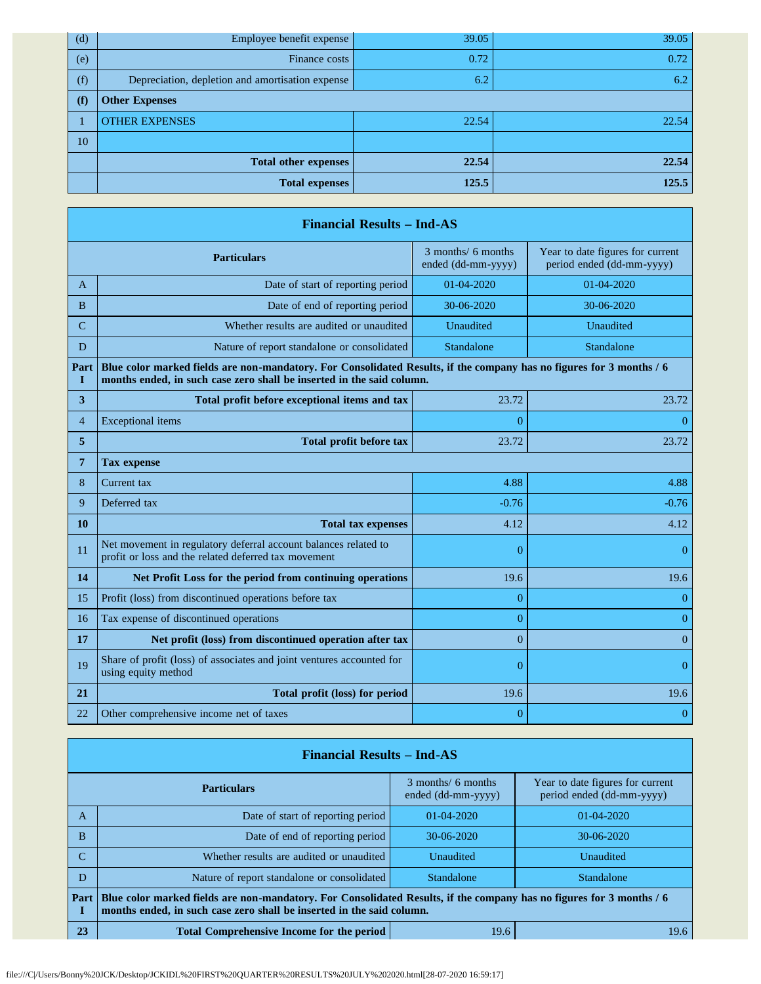| (d) | Employee benefit expense                         | 39.05 | 39.05 |
|-----|--------------------------------------------------|-------|-------|
| (e) | Finance costs                                    | 0.72  | 0.72  |
| (f) | Depreciation, depletion and amortisation expense | 6.2   | 6.2   |
| (f) | <b>Other Expenses</b>                            |       |       |
|     | <b>OTHER EXPENSES</b>                            | 22.54 | 22.54 |
| 10  |                                                  |       |       |
|     | <b>Total other expenses</b>                      | 22.54 | 22.54 |
|     | <b>Total expenses</b>                            | 125.5 | 125.5 |

| <b>Financial Results - Ind-AS</b> |                                                                                                                                                                                               |                                          |                                                               |  |
|-----------------------------------|-----------------------------------------------------------------------------------------------------------------------------------------------------------------------------------------------|------------------------------------------|---------------------------------------------------------------|--|
|                                   | <b>Particulars</b>                                                                                                                                                                            | 3 months/ 6 months<br>ended (dd-mm-yyyy) | Year to date figures for current<br>period ended (dd-mm-yyyy) |  |
| A                                 | Date of start of reporting period                                                                                                                                                             | 01-04-2020                               | 01-04-2020                                                    |  |
| B                                 | Date of end of reporting period                                                                                                                                                               | 30-06-2020                               | 30-06-2020                                                    |  |
| $\overline{C}$                    | Whether results are audited or unaudited                                                                                                                                                      | Unaudited                                | Unaudited                                                     |  |
| D                                 | Nature of report standalone or consolidated                                                                                                                                                   | Standalone                               | Standalone                                                    |  |
| Part<br>Т                         | Blue color marked fields are non-mandatory. For Consolidated Results, if the company has no figures for 3 months / 6<br>months ended, in such case zero shall be inserted in the said column. |                                          |                                                               |  |
| 3                                 | Total profit before exceptional items and tax                                                                                                                                                 | 23.72                                    | 23.72                                                         |  |
| $\overline{4}$                    | <b>Exceptional</b> items                                                                                                                                                                      | $\Omega$                                 | $\theta$                                                      |  |
| 5                                 | <b>Total profit before tax</b>                                                                                                                                                                | 23.72<br>23.72                           |                                                               |  |
| 7                                 | <b>Tax expense</b>                                                                                                                                                                            |                                          |                                                               |  |
| 8                                 | Current tax                                                                                                                                                                                   | 4.88                                     | 4.88                                                          |  |
| 9                                 | Deferred tax                                                                                                                                                                                  | $-0.76$                                  | $-0.76$                                                       |  |
| 10                                | <b>Total tax expenses</b>                                                                                                                                                                     | 4.12                                     | 4.12                                                          |  |
| 11                                | Net movement in regulatory deferral account balances related to<br>profit or loss and the related deferred tax movement                                                                       | $\overline{0}$                           | $\overline{0}$                                                |  |
| 14                                | Net Profit Loss for the period from continuing operations                                                                                                                                     | 19.6                                     | 19.6                                                          |  |
| 15                                | Profit (loss) from discontinued operations before tax                                                                                                                                         | $\overline{0}$                           | $\overline{0}$                                                |  |
| 16                                | Tax expense of discontinued operations                                                                                                                                                        | $\overline{0}$                           | $\theta$                                                      |  |
| 17                                | Net profit (loss) from discontinued operation after tax                                                                                                                                       | $\overline{0}$                           | $\overline{0}$                                                |  |
| 19                                | Share of profit (loss) of associates and joint ventures accounted for<br>using equity method                                                                                                  | $\overline{0}$                           | $\theta$                                                      |  |
| 21                                | Total profit (loss) for period                                                                                                                                                                | 19.6                                     | 19.6                                                          |  |
| 22                                | Other comprehensive income net of taxes                                                                                                                                                       | $\overline{0}$                           | $\overline{0}$                                                |  |

| <b>Financial Results – Ind-AS</b> |                                                                                                                                                                                               |                                          |                                                               |  |
|-----------------------------------|-----------------------------------------------------------------------------------------------------------------------------------------------------------------------------------------------|------------------------------------------|---------------------------------------------------------------|--|
| <b>Particulars</b>                |                                                                                                                                                                                               | 3 months/ 6 months<br>ended (dd-mm-yyyy) | Year to date figures for current<br>period ended (dd-mm-yyyy) |  |
| A                                 | Date of start of reporting period                                                                                                                                                             | $01 - 04 - 2020$                         | $01 - 04 - 2020$                                              |  |
| <sub>B</sub>                      | Date of end of reporting period                                                                                                                                                               | $30-06-2020$                             | $30-06-2020$                                                  |  |
| $\mathcal{C}$                     | Whether results are audited or unaudited                                                                                                                                                      | Unaudited                                | Unaudited                                                     |  |
| D                                 | Nature of report standalone or consolidated                                                                                                                                                   | <b>Standalone</b>                        | Standalone                                                    |  |
| Part                              | Blue color marked fields are non-mandatory. For Consolidated Results, if the company has no figures for 3 months / 6<br>months ended, in such case zero shall be inserted in the said column. |                                          |                                                               |  |
| 23                                | <b>Total Comprehensive Income for the period</b><br>19.6                                                                                                                                      |                                          | 19.6                                                          |  |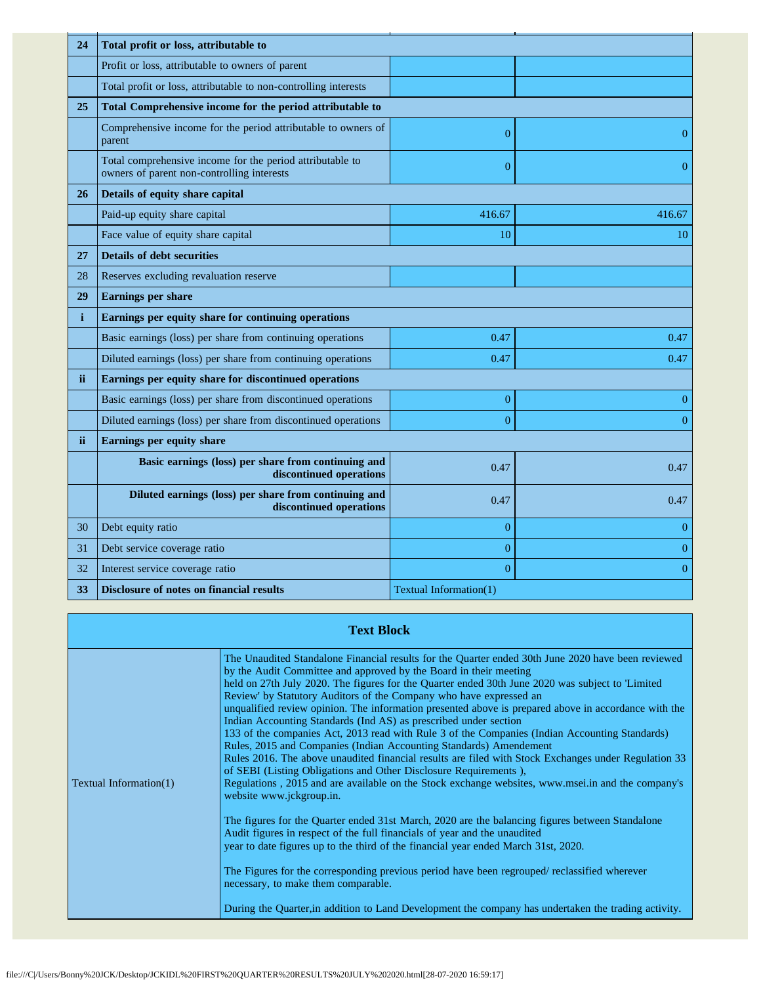| 24           | Total profit or loss, attributable to                                                                   |                        |                |  |
|--------------|---------------------------------------------------------------------------------------------------------|------------------------|----------------|--|
|              | Profit or loss, attributable to owners of parent                                                        |                        |                |  |
|              | Total profit or loss, attributable to non-controlling interests                                         |                        |                |  |
| 25           | Total Comprehensive income for the period attributable to                                               |                        |                |  |
|              | Comprehensive income for the period attributable to owners of<br>parent                                 | $\overline{0}$         | $\overline{0}$ |  |
|              | Total comprehensive income for the period attributable to<br>owners of parent non-controlling interests | $\overline{0}$         | $\theta$       |  |
| 26           | Details of equity share capital                                                                         |                        |                |  |
|              | Paid-up equity share capital                                                                            | 416.67                 | 416.67         |  |
|              | Face value of equity share capital                                                                      | 10                     | 10             |  |
| 27           | <b>Details of debt securities</b>                                                                       |                        |                |  |
| 28           | Reserves excluding revaluation reserve                                                                  |                        |                |  |
| 29           | <b>Earnings per share</b>                                                                               |                        |                |  |
| $\mathbf{i}$ | Earnings per equity share for continuing operations                                                     |                        |                |  |
|              | Basic earnings (loss) per share from continuing operations                                              | 0.47                   | 0.47           |  |
|              | Diluted earnings (loss) per share from continuing operations                                            | 0.47                   | 0.47           |  |
| ii.          | Earnings per equity share for discontinued operations                                                   |                        |                |  |
|              | Basic earnings (loss) per share from discontinued operations                                            | $\boldsymbol{0}$       | $\overline{0}$ |  |
|              | Diluted earnings (loss) per share from discontinued operations                                          | $\overline{0}$         | $\overline{0}$ |  |
| ii.          | Earnings per equity share                                                                               |                        |                |  |
|              | Basic earnings (loss) per share from continuing and<br>discontinued operations                          | 0.47                   | 0.47           |  |
|              | Diluted earnings (loss) per share from continuing and<br>discontinued operations                        | 0.47                   | 0.47           |  |
| 30           | Debt equity ratio                                                                                       | $\overline{0}$         | $\theta$       |  |
| 31           | Debt service coverage ratio                                                                             | $\overline{0}$         | $\mathbf{0}$   |  |
| 32           | Interest service coverage ratio                                                                         | $\theta$               | $\overline{0}$ |  |
| 33           | Disclosure of notes on financial results                                                                | Textual Information(1) |                |  |

|                        | <b>Text Block</b>                                                                                                                                                                                                                                                                                                                                                                                                                                                                                                                                                                                                                                                                                                                                                                                                                                                                                                                                                                                                                                                                                                                                                                                                                                                                                                                                                                                                                                                                                                                       |
|------------------------|-----------------------------------------------------------------------------------------------------------------------------------------------------------------------------------------------------------------------------------------------------------------------------------------------------------------------------------------------------------------------------------------------------------------------------------------------------------------------------------------------------------------------------------------------------------------------------------------------------------------------------------------------------------------------------------------------------------------------------------------------------------------------------------------------------------------------------------------------------------------------------------------------------------------------------------------------------------------------------------------------------------------------------------------------------------------------------------------------------------------------------------------------------------------------------------------------------------------------------------------------------------------------------------------------------------------------------------------------------------------------------------------------------------------------------------------------------------------------------------------------------------------------------------------|
| Textual Information(1) | The Unaudited Standalone Financial results for the Quarter ended 30th June 2020 have been reviewed<br>by the Audit Committee and approved by the Board in their meeting<br>held on 27th July 2020. The figures for the Quarter ended 30th June 2020 was subject to 'Limited<br>Review' by Statutory Auditors of the Company who have expressed an<br>unqualified review opinion. The information presented above is prepared above in accordance with the<br>Indian Accounting Standards (Ind AS) as prescribed under section<br>133 of the companies Act, 2013 read with Rule 3 of the Companies (Indian Accounting Standards)<br>Rules, 2015 and Companies (Indian Accounting Standards) Amendement<br>Rules 2016. The above unaudited financial results are filed with Stock Exchanges under Regulation 33<br>of SEBI (Listing Obligations and Other Disclosure Requirements),<br>Regulations, 2015 and are available on the Stock exchange websites, www.msei.in and the company's<br>website www.jckgroup.in.<br>The figures for the Quarter ended 31st March, 2020 are the balancing figures between Standalone<br>Audit figures in respect of the full financials of year and the unaudited<br>year to date figures up to the third of the financial year ended March 31st, 2020.<br>The Figures for the corresponding previous period have been regrouped/ reclassified wherever<br>necessary, to make them comparable.<br>During the Quarter, in addition to Land Development the company has undertaken the trading activity. |